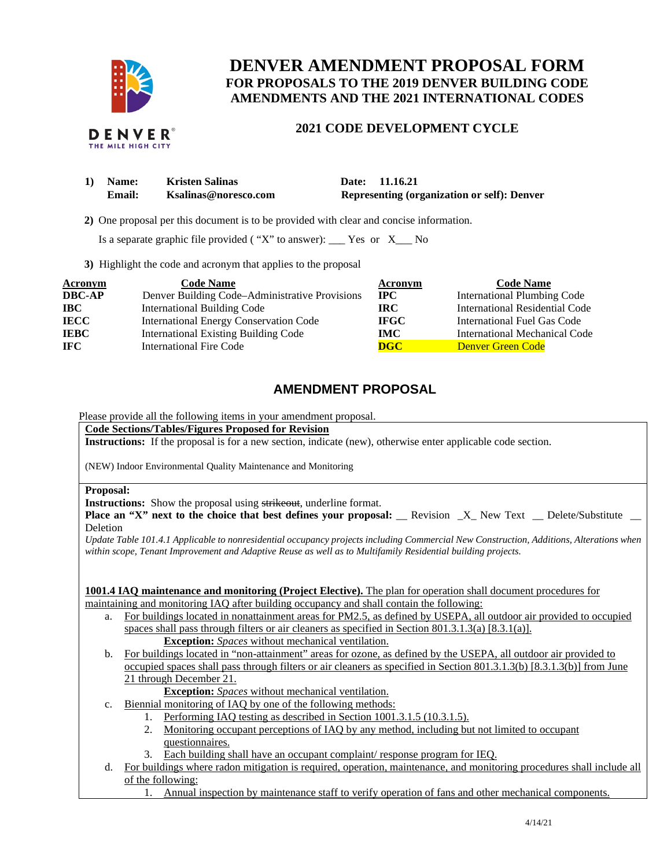

# **DENVER AMENDMENT PROPOSAL FORM FOR PROPOSALS TO THE 2019 DENVER BUILDING CODE AMENDMENTS AND THE 2021 INTERNATIONAL CODES**

## **2021 CODE DEVELOPMENT CYCLE**

| 1) Name: | <b>Kristen Salinas</b> | Date: 11.16.21                                     |
|----------|------------------------|----------------------------------------------------|
| Email:   | Ksalinas@noresco.com   | <b>Representing (organization or self): Denver</b> |

 **2)** One proposal per this document is to be provided with clear and concise information.

Is a separate graphic file provided ( "X" to answer): \_\_\_ Yes or X\_\_\_ No

**3)** Highlight the code and acronym that applies to the proposal

| Acronym       | <b>Code Name</b>                               | Acronym                 | <b>Code Name</b>                   |
|---------------|------------------------------------------------|-------------------------|------------------------------------|
| <b>DBC-AP</b> | Denver Building Code-Administrative Provisions | $_{\rm IPC}$            | <b>International Plumbing Code</b> |
| <b>IBC</b>    | <b>International Building Code</b>             | <b>IRC</b>              | International Residential Code     |
| <b>IECC</b>   | <b>International Energy Conservation Code</b>  | <b>IFGC</b>             | International Fuel Gas Code        |
| <b>IEBC</b>   | <b>International Existing Building Code</b>    | <b>IMC</b>              | International Mechanical Code      |
| <b>IFC</b>    | <b>International Fire Code</b>                 | $\overline{\text{DGC}}$ | Denver Green Code                  |

## **AMENDMENT PROPOSAL**

Please provide all the following items in your amendment proposal.

**Code Sections/Tables/Figures Proposed for Revision** 

**Instructions:** If the proposal is for a new section, indicate (new), otherwise enter applicable code section.

(NEW) Indoor Environmental Quality Maintenance and Monitoring

#### **Proposal:**

**Instructions:** Show the proposal using strikeout, underline format.

**Place an "X" next to the choice that best defines your proposal:** \_\_ Revision \_X\_ New Text \_\_ Delete/Substitute \_ Deletion

*Update Table 101.4.1 Applicable to nonresidential occupancy projects including Commercial New Construction, Additions, Alterations when within scope, Tenant Improvement and Adaptive Reuse as well as to Multifamily Residential building projects.* 

**1001.4 IAQ maintenance and monitoring (Project Elective).** The plan for operation shall document procedures for maintaining and monitoring IAQ after building occupancy and shall contain the following:

- a. For buildings located in nonattainment areas for PM2.5, as defined by USEPA, all outdoor air provided to occupied spaces shall pass through filters or air cleaners as specified in Section 801.3.1.3(a) [8.3.1(a)]. **Exception:** *Spaces* without mechanical ventilation.
- b. For buildings located in "non-attainment" areas for ozone, as defined by the USEPA, all outdoor air provided to occupied spaces shall pass through filters or air cleaners as specified in Section 801.3.1.3(b) [8.3.1.3(b)] from June 21 through December 21.

**Exception:** *Spaces* without mechanical ventilation.

c. Biennial monitoring of IAQ by one of the following methods:

- 1. Performing IAQ testing as described in Section 1001.3.1.5 (10.3.1.5).
- 2. Monitoring occupant perceptions of IAQ by any method, including but not limited to occupant questionnaires.
- 3. Each building shall have an occupant complaint/ response program for IEQ.
- d. For buildings where radon mitigation is required, operation, maintenance, and monitoring procedures shall include all of the following:
	- 1. Annual inspection by maintenance staff to verify operation of fans and other mechanical components.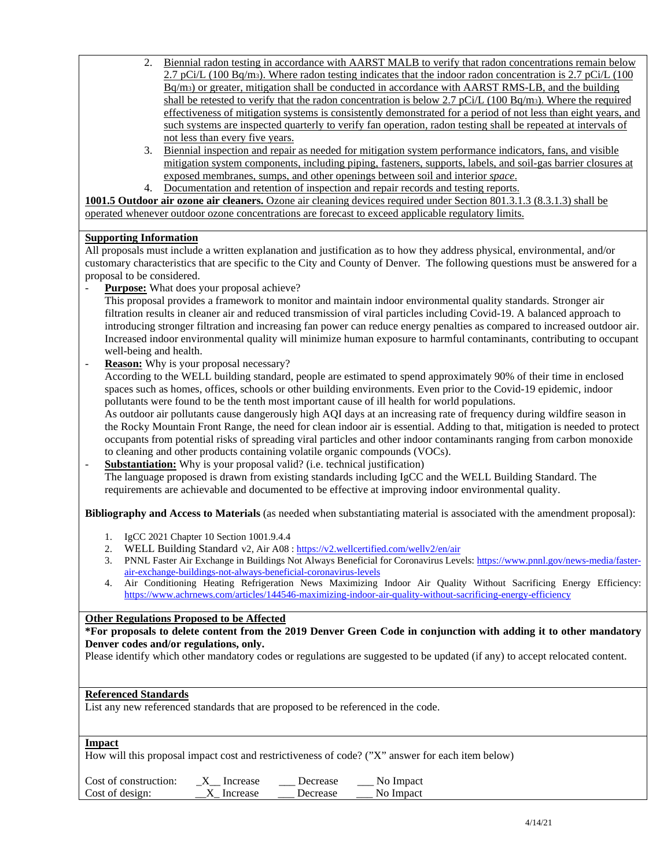- 2. Biennial radon testing in accordance with AARST MALB to verify that radon concentrations remain below  $2.7$  pCi/L (100 Bq/m<sub>3</sub>). Where radon testing indicates that the indoor radon concentration is 2.7 pCi/L (100 Bq/m3) or greater, mitigation shall be conducted in accordance with AARST RMS-LB, and the building shall be retested to verify that the radon concentration is below 2.7 pCi/L (100 Bq/m3). Where the required effectiveness of mitigation systems is consistently demonstrated for a period of not less than eight years, and such systems are inspected quarterly to verify fan operation, radon testing shall be repeated at intervals of not less than every five years.
- 3. Biennial inspection and repair as needed for mitigation system performance indicators, fans, and visible mitigation system components, including piping, fasteners, supports, labels, and soil-gas barrier closures at exposed membranes, sumps, and other openings between soil and interior *space*.
- 4. Documentation and retention of inspection and repair records and testing reports.

**1001.5 Outdoor air ozone air cleaners.** Ozone air cleaning devices required under Section 801.3.1.3 (8.3.1.3) shall be operated whenever outdoor ozone concentrations are forecast to exceed applicable regulatory limits.

## **Supporting Information**

All proposals must include a written explanation and justification as to how they address physical, environmental, and/or customary characteristics that are specific to the City and County of Denver. The following questions must be answered for a proposal to be considered.

**Purpose:** What does your proposal achieve?

This proposal provides a framework to monitor and maintain indoor environmental quality standards. Stronger air filtration results in cleaner air and reduced transmission of viral particles including Covid-19. A balanced approach to introducing stronger filtration and increasing fan power can reduce energy penalties as compared to increased outdoor air. Increased indoor environmental quality will minimize human exposure to harmful contaminants, contributing to occupant well-being and health.

**Reason:** Why is your proposal necessary?

According to the WELL building standard, people are estimated to spend approximately 90% of their time in enclosed spaces such as homes, offices, schools or other building environments. Even prior to the Covid-19 epidemic, indoor pollutants were found to be the tenth most important cause of ill health for world populations.

As outdoor air pollutants cause dangerously high AQI days at an increasing rate of frequency during wildfire season in the Rocky Mountain Front Range, the need for clean indoor air is essential. Adding to that, mitigation is needed to protect occupants from potential risks of spreading viral particles and other indoor contaminants ranging from carbon monoxide to cleaning and other products containing volatile organic compounds (VOCs).

**Substantiation:** Why is your proposal valid? (i.e. technical justification) The language proposed is drawn from existing standards including IgCC and the WELL Building Standard. The requirements are achievable and documented to be effective at improving indoor environmental quality.

**Bibliography and Access to Materials** (as needed when substantiating material is associated with the amendment proposal):

- 1. IgCC 2021 Chapter 10 Section 1001.9.4.4
- 2. WELL Building Standard v2, Air  $A08$ :  $\underline{https://v2.wellertifield.com/welly2/en/air}$ <br>
3. PNNL Faster Air Exchange in Buildings Not Always Beneficial for Coronavirus Leve
- 3. PNNL Faster Air Exchange in Buildings Not Always Beneficial for Coronavirus Levels[: https://www.pnnl.gov/news-media/faster](https://www.pnnl.gov/news-media/faster-air-exchange-buildings-not-always-beneficial-coronavirus-levels)[air-exchange-buildings-not-always-beneficial-coronavirus-levels](https://www.pnnl.gov/news-media/faster-air-exchange-buildings-not-always-beneficial-coronavirus-levels)
- 4. Air Conditioning Heating Refrigeration News Maximizing Indoor Air Quality Without Sacrificing Energy Efficiency: <https://www.achrnews.com/articles/144546-maximizing-indoor-air-quality-without-sacrificing-energy-efficiency>

### **Other Regulations Proposed to be Affected**

**\*For proposals to delete content from the 2019 Denver Green Code in conjunction with adding it to other mandatory Denver codes and/or regulations, only.**

Please identify which other mandatory codes or regulations are suggested to be updated (if any) to accept relocated content.

#### **Referenced Standards**

List any new referenced standards that are proposed to be referenced in the code.

#### **Impact**

How will this proposal impact cost and restrictiveness of code? ("X" answer for each item below)

| Cost of construction: | Increase   | Decrease | No Impact |
|-----------------------|------------|----------|-----------|
| Cost of design:       | X Increase | Decrease | No Impact |